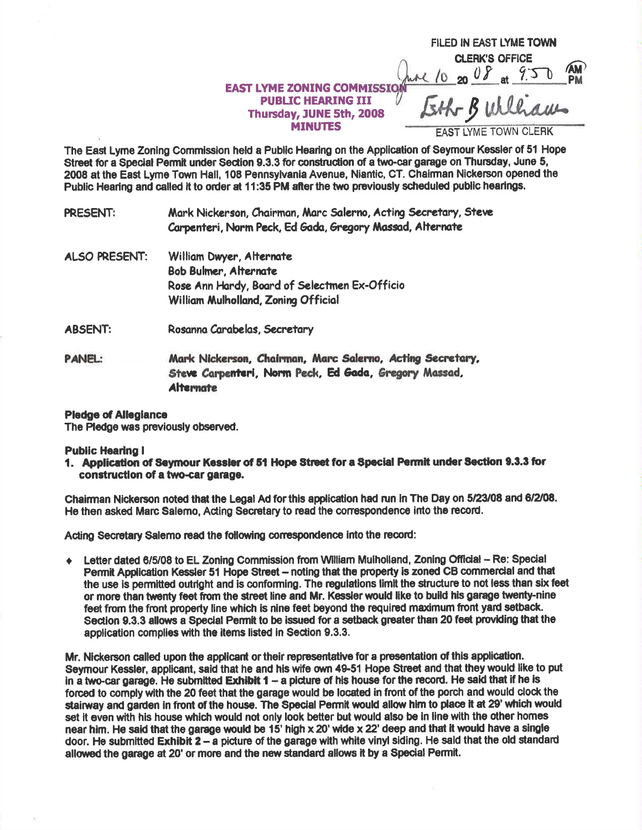## EAST LYME ZONING COMMISSION  $\frac{\hbar \mathcal{M}}{20.200}$  at  $\frac{9.50}{1.50}$ **PUBLIC HEARING III** Thursday, JUNE 5th, 2008 **MINUTES**

**FILED IN EAST LYME TOWN CLERK'S OFFICE** 

Eth Bulliam

**EAST LYME TOWN CLERK** 

The East Lyme Zoning Commission held a Public Hearing on the Application of Seymour Kessler of 51 Hope Street for a Special Permit under Section 9.3.3 for construction of a two-car garage on Thursday, June 5, 2008 at the East Lyme Town Hall, 108 Pennsylvania Avenue, Niantic, CT. Chairman Nickerson opened the Public Hearing and called it to order at 11:35 PM after the two previously scheduled public hearings.

**PRESENT:** Mark Nickerson, Chairman, Marc Salerno, Acting Secretary, Steve Carpenteri, Norm Peck, Ed Gada, Gregory Massad, Alternate

- William Dwyer, Alternate **ALSO PRESENT: Bob Bulmer, Alternate** Rose Ann Hardy, Board of Selectmen Ex-Officio William Mulholland, Zoning Official Rosanna Carabelas, Secretary **ABSENT:**
- **PANEL:** Mark Nickerson, Chairman, Marc Salerno, Acting Secretary, Steve Carpenteri, Norm Peck, Ed Gada, Gregory Massad, **Alternate**

## **Pledge of Allegiance**

The Pledge was previously observed.

**Public Hearing I** 

1. Application of Seymour Kessler of 51 Hope Street for a Special Permit under Section 9.3.3 for construction of a two-car garage.

Chairman Nickerson noted that the Legal Ad for this application had run in The Day on 5/23/08 and 6/2/08. He then asked Marc Salemo, Acting Secretary to read the correspondence into the record.

Acting Secretary Salemo read the following correspondence into the record:

Letter dated 6/5/08 to EL Zoning Commission from William Mulholland, Zoning Official - Re: Special  $\bullet$ Permit Application Kessler 51 Hope Street - noting that the property is zoned CB commercial and that the use is permitted outright and is conforming. The regulations limit the structure to not less than six feet or more than twenty feet from the street line and Mr. Kessler would like to build his garage twenty-nine feet from the front property line which is nine feet beyond the required maximum front yard setback. Section 9.3.3 allows a Special Permit to be issued for a setback greater than 20 feet providing that the application complies with the items listed in Section 9.3.3.

Mr. Nickerson called upon the applicant or their representative for a presentation of this application. Seymour Kessler, applicant, said that he and his wife own 49-51 Hope Street and that they would like to put in a two-car garage. He submitted Exhibit  $1 - a$  picture of his house for the record. He said that if he is forced to comply with the 20 feet that the garage would be located in front of the porch and would clock the stairway and garden in front of the house. The Special Permit would allow him to place it at 29' which would set it even with his house which would not only look better but would also be in line with the other homes near him. He said that the garage would be 15' high x 20' wide x 22' deep and that it would have a single door. He submitted Exhibit  $2 - a$  picture of the garage with white vinyl siding. He said that the old standard allowed the garage at 20' or more and the new standard allows it by a Special Permit.